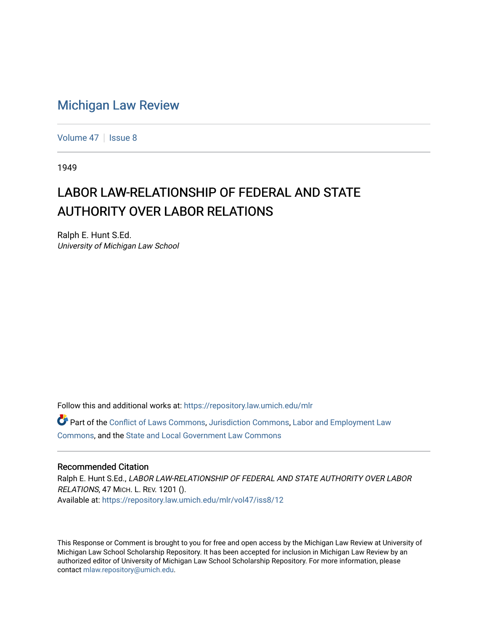## [Michigan Law Review](https://repository.law.umich.edu/mlr)

[Volume 47](https://repository.law.umich.edu/mlr/vol47) | [Issue 8](https://repository.law.umich.edu/mlr/vol47/iss8)

1949

# LABOR LAW-RELATIONSHIP OF FEDERAL AND STATE AUTHORITY OVER LABOR RELATIONS

Ralph E. Hunt S.Ed. University of Michigan Law School

Follow this and additional works at: [https://repository.law.umich.edu/mlr](https://repository.law.umich.edu/mlr?utm_source=repository.law.umich.edu%2Fmlr%2Fvol47%2Fiss8%2F12&utm_medium=PDF&utm_campaign=PDFCoverPages) 

Part of the [Conflict of Laws Commons,](http://network.bepress.com/hgg/discipline/588?utm_source=repository.law.umich.edu%2Fmlr%2Fvol47%2Fiss8%2F12&utm_medium=PDF&utm_campaign=PDFCoverPages) [Jurisdiction Commons](http://network.bepress.com/hgg/discipline/850?utm_source=repository.law.umich.edu%2Fmlr%2Fvol47%2Fiss8%2F12&utm_medium=PDF&utm_campaign=PDFCoverPages), [Labor and Employment Law](http://network.bepress.com/hgg/discipline/909?utm_source=repository.law.umich.edu%2Fmlr%2Fvol47%2Fiss8%2F12&utm_medium=PDF&utm_campaign=PDFCoverPages)  [Commons](http://network.bepress.com/hgg/discipline/909?utm_source=repository.law.umich.edu%2Fmlr%2Fvol47%2Fiss8%2F12&utm_medium=PDF&utm_campaign=PDFCoverPages), and the [State and Local Government Law Commons](http://network.bepress.com/hgg/discipline/879?utm_source=repository.law.umich.edu%2Fmlr%2Fvol47%2Fiss8%2F12&utm_medium=PDF&utm_campaign=PDFCoverPages)

### Recommended Citation

Ralph E. Hunt S.Ed., LABOR LAW-RELATIONSHIP OF FEDERAL AND STATE AUTHORITY OVER LABOR RELATIONS, 47 MICH. L. REV. 1201 (). Available at: [https://repository.law.umich.edu/mlr/vol47/iss8/12](https://repository.law.umich.edu/mlr/vol47/iss8/12?utm_source=repository.law.umich.edu%2Fmlr%2Fvol47%2Fiss8%2F12&utm_medium=PDF&utm_campaign=PDFCoverPages) 

This Response or Comment is brought to you for free and open access by the Michigan Law Review at University of Michigan Law School Scholarship Repository. It has been accepted for inclusion in Michigan Law Review by an authorized editor of University of Michigan Law School Scholarship Repository. For more information, please contact [mlaw.repository@umich.edu](mailto:mlaw.repository@umich.edu).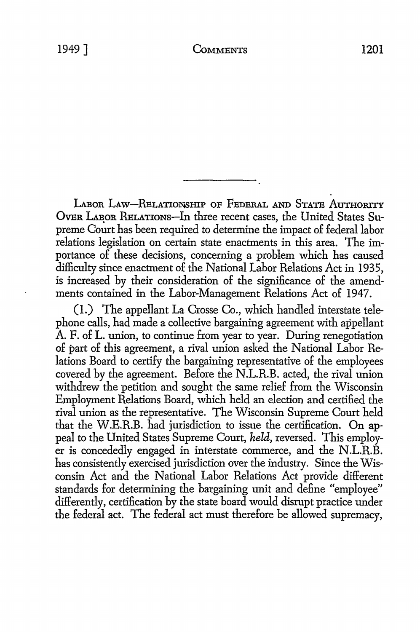LABOR LAW-RELATIONSHIP OF FEDERAL AND STATE AUTHORITY OVER LABOR RELATIONS-In three recent cases, the United States Supreme Court has been required to determine the impact of federal labor relations legislation on certain state enactments in this area. The importance of these decisions, concerning a problem which has caused difficulty since enactment of the National Labor Relations Act in 1935, is increased by their consideration of the significance of the amendments contained in the Labor-Management Relations Act of 1947.

(1.) The appellant La Crosse Co., which handled interstate telephone calls, had made a collective bargaining agreement with appellant A. F. of L. union, to continue from year to year. During renegotiation of part of this agreement, a rival union asked the National Labor Relations Board to certify the bargaining representative of the employees covered by the agreement. Before the N.L.R.B. acted, the rival union withdrew the petition and sought the same relief from the Wisconsin Employment Relations Board, which held an election and certified the rival union as the representative. The Wisconsin Supreme Court held that the W.E.R.B. had jurisdiction to issue the certification. On appeal to the United States Supreme Court, *held,* reversed. This employer is concededly engaged in interstate commerce, and the N.L.R.B. has consistently exercised jurisdiction over the industry. Since the Wisconsin Act and the National Labor Relations Act provide different standards for determining the bargaining unit and define "employee" differently, certification by the state board would disrupt practice under the federal act. The federal act must therefore be allowed supremacy,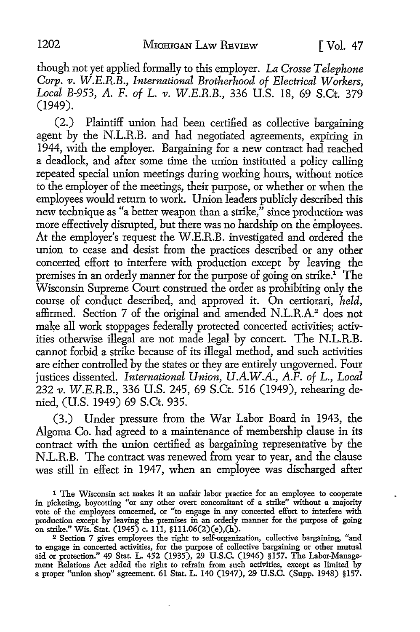though not yet applied formally to this employer. *La Crosse Telephone Corp. v. W.E.R.B., International Brotherhood of Electrical Workers, Local B-953, A.* F. *of* L. *v. W.E.R.B.,* 336 U.S. 18, 69 S.Ct. 379 (1949).

(2.) Plaintiff union had been certified as collective bargaining agent by the N.L.R.B. and had negotiated agreements, expiring in 1944, with the employer. Bargaining for a new contract had reached a deadlock, and after some time the union instituted a policy calling repeated special union meetings during working hours, without notice to the employer of the meetings, their purpose, or whether or when the employees would return to work. Union leaders publicly described this new technique as "a better weapon than a strike," since production was more effectively disrupted, but there was no hardship on the employees. At the employer's request the W.E.R.B. investigated and ordered the union to cease and desist from the practices described or any other concerted effort to interfere with production except by leaving the premises in an orderly manner for the purpose of going on strike.<sup>1</sup> The Wisconsin Supreme Court construed the order as prohibiting only the course of conduct described, and approved it. On certiorari, *held,*  affirmed. Section 7 of the original and amended N.L.R.A.2 does not make all work stoppages federally protected concerted activities; activities otherwise illegal are not made legal by concert. The N.L.R.B. cannot forbid a strike because of its illegal method, and such activities are either controlled by the states or they are entirely ungoverned. Four justices dissented. *International Union, U.A.W.A., A.F. of* L., *Local*  232 *v. W.E.R.B.,* 336 U.S. 245, 69 S.Ct. 516 (1949), rehearing denied, (U.S. 1949) 69 S.Ct. 935.

(3.) Under pressure from the War Labor Board in 1943, the Algoma Co. had agreed to a maintenance of membership clause in its contract with the union certified as bargaining representative by the N.L.R.B. The contract was renewed from year to year, and the clause was still in effect in 1947, when an employee was discharged after

2 Section 7 gives employees the right to self-organization, collective bargaining, "and to engage in concerted activities, for the purpose of collective bargaining or other mutual aid or protection." 49 Stat. L. 452 (1935), 29 U.S.C. (1946) §157. The Labor-Management Relations Act added the right to refrain from such activities, except as limited by a proper "union shop" agreement. 61 Stat. L. 140 (1947), 29 U.S.C. (Supp. 1948) §157.

<sup>1</sup> The Wisconsin act makes it an unfair labor practice for an employee to cooperate in picketing, boycotting "or any other overt concomitant of a strike" without a majority vote of the employees concerned, or "to engage in any concerted effort to interfere with production except by leaving the premises in an orderly manner for the purpose of going on strike." Wis. Stat. (1945) c. 111, §lll.06(2)(e),(h).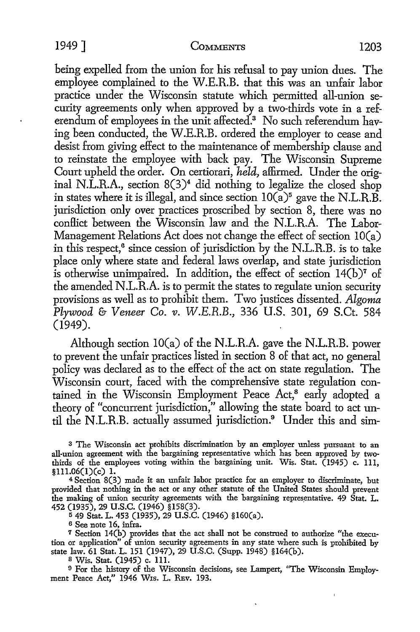being expelled from the union for his refusal to pay union dues. The employee complained to the W.E.R.B. that this was an unfair labor practice under the Wisconsin statute which permitted all-union security agreements only when approved by a two-thirds vote in a referendum of employees in the unit affected.<sup>3</sup> No such referendum having been conducted, the W.E.R.B. ordered the employer to cease and desist from giving effect to the maintenance of membership clause and to reinstate the employee with back pay. The Wisconsin Supreme Court upheld the order. On certiorari, *held,* affirmed. Under the original N.L.R.A., section  $8(3)^4$  did nothing to legalize the closed shop in states where it is illegal, and since section  $10(a)^5$  gave the N.L.R.B. jurisdiction only over practices proscribed by section 8, there was no conflict between the Wisconsin law and the N.L.R.A. The Labor-Management Relations Act does not change the effect of section IO(a) in this respect,<sup>6</sup> since cession of jurisdiction by the N.L.R.B. is to take place only where state and federal laws overlap, and state jurisdiction is otherwise unimpaired. In addition, the effect of section  $14(b)$ <sup>7</sup> of the amended N .L.R.A. is to permit the states to regulate union security provisions as well as to prohibit them. Two justices dissented. *Algoma Plywood* &- *Veneer Co. v. W.E.R.B.,* 336 U.S. 301, 69 S.Ct. 584 (1949).

Although section  $10(a)$  of the N.L.R.A. gave the N.L.R.B. power to prevent the unfair practices listed in section 8 of that act, no general policy was declared as to the effect of the act on state regulation. The Wisconsin court, faced with the comprehensive state regulation contained in the Wisconsin Employment Peace Act,<sup>8</sup> early adopted a theory of "concurrent jurisdiction," allowing the state board to act until the N.L.R.B. actually assumed jurisdiction.<sup>9</sup> Under this and sim-

<sup>3</sup>The Wisconsin act prohibits discrimination by an employer unless pursuant to an all-union agreement with the bargaining representative which has been approved by twothirds of the employees voting within the bargaining unit. Wis. Stat. (1945) c. 111, §1ll.06(1)(c) 1.

<sup>4</sup>Section 8(3) made it an unfair labor practice for an employer to discriminate, but provided that nothing in the act or any other statute of the United States should prevent the making of union security agreements with the bargaining representative. 49 Stat. L. 452 (1935), 29 u.s.c. (1946) §158(3).

<sup>5</sup>49 Stat. L. 453 (1935), 29 U.S.C. (1946) §l60(a).

<sup>6</sup>See note 16, infra.

7 Section 14(b) provides that the act shall not be construed to authorize "the execution or application" of union security agreements in any state where such is prohibited by state law. 61 Stat. L. 151 (1947), 29 U.S.C. (Supp. 1948) §164(b).

s Wis. Stat. (1945) c. 111.

9 For the history of the Wisconsin decisions, see Lampert, "The Wisconsin Employment Peace Act," 1946 Wis. L. REv. 193.

 $\hat{\mathbf{x}}$ 

 $\lambda$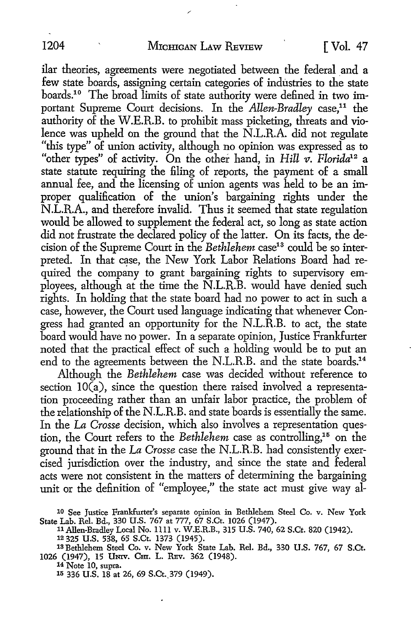ilar theories, agreements were negotiated between the federal and a few state boards, assigning certain categories of industries to the state boards.<sup>10</sup> The broad limits of state authority were defined in two important Supreme Court decisions. In the *Allen-Bradley* case,<sup>11</sup> the authority of the W.E.R.B. to prohibit mass picketing, threats and violence was upheld on the ground that the N.L.R.A. did not regulate "this type" of union activity, although no opinion was expressed as to "other types" of activity. On the other hand, in *Hill v. Florida*<sup>12</sup> a state statute requiring the filing of reports, the payment of a small annual fee, and the licensing of union agents was held to be an improper qualification of the union's bargaining rights under the N.L.R.A., and therefore invalid. Thus it seemed that state regulation would be allowed to supplement the federal act, so long as state action did not frustrate the declared policy of the latter. On its facts, the decision of the Supreme Court in the *Bethlehem* case<sup>13</sup> could be so interpreted. In that case, the New York Labor Relations Board had required the company to grant bargaining rights to supervisory employees, although at the time the N.L.R.B. would have denied such rights. In holding that the state board had no power to act in such a case, however, the Court used language indicating that whenever Congress had granted an opportunity for the N.L.R.B. to act, the state board would have no power. In a separate opinion, Justice Frankfurter noted that the practical effect of such a holding would be to put an end to the agreements between the N.L.R.B. and the state boards.<sup>14</sup>

Although the *Bethlehem* case was decided without reference to section  $10(a)$ , since the question there raised involved a representation proceeding rather than an unfair labor practice, the problem of the relationship of the N.L.R.B. and state boards is essentially the same. In the La *Crosse* decision, which also involves a representation question, the Court refers to the *Bethlehem* case as controlling,<sup>15</sup> on the ground that in the *La Crosse* case the N.L.R.B. had consistently exercised jurisdictiop. over the industry, and since the state and federal acts were not consistent in the matters of determining the bargaining unit or the definition of "employee," the state act must give way al-

1a Bethlehem Steel Co. v. New York State Lab. Rel. Bd., 330 U.S. 767, 67 S.Ct. 1026 (1947), 15 UNIV. CHI. L. REV. 362 (1948).

14 Note 10, supra.

15 336 U.S. 18 at 26, 69 S.Ct.\_379 (1949).

<sup>10</sup> See Justice Frankfurter's separate opinion in Bethlehem Steel Co. v. New York State Lab. Rel. Bd., 330 U.S. 767 at 777, 67 S.Ct. 1026 (1947).<br>11 Allen-Bradley Local No. 1111 v. W.E.R.B., 315 U.S. 740, 62 S.Ct. 820 (1942).

<sup>11</sup> Allen-Bradley Local No. 1111 v. W.E.R.B., 315 U.S. 740, 62 S.Ct. 820 (1942).<br>12 325 U.S. 538, 65 S.Ct. 1373 (1945).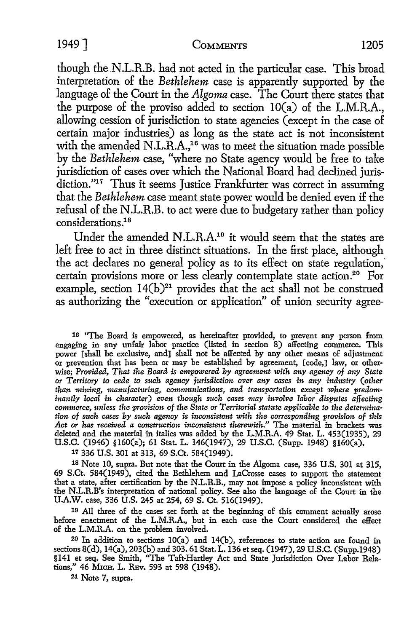though the.N.L.R.B. had not acted in the particular case. This broad interpretation of the *Bethlehem* case is apparently supported by the language of the Court in the *Algoma* case. The Court there states that the purpose of the proviso added to section IO(a) of the L.M.R.A., allowing cession of jurisdiction to state agencies (except in the case of certain major industries) as long as the state act is not inconsistent with the amended N.L.R.A.,<sup>16</sup> was to meet the situation made possible by the *Bethlehem* case, "where no State agency would be free to take jurisdiction of cases over which the National Board had declined jurisdiction."<sup>17</sup> Thus it seems Justice Frankfurter was correct in assuming that the *Bethlehem* case meant state power would be denied even if the refusal of the N.L.R.B. to act were due to budgetary rather than policy considerations.18

Under the amended N.L.R.A.19 it would seem that the states are left free to act in three distinct situations. In the first place, although the act declares no general policy as to its effect on state regulation, certain provisions more or less clearly contemplate state action.<sup>20</sup> For example, section  $14(b)^{21}$  provides that the act shall not be construed as authorizing the "execution or application" of union security agree-

16 "The Board is empowered, as hereinafter provided, to prevent any person from engaging in any unfair labor practice (listed in section 8) affecting commerce. This power [shall be exclusive, and] shall not be affected by any other means of adjustment or prevention that has been or may be established by agreement, [code,] law, or otherwise; *Provided, That the Board is empowered by agreement with any agency of any State or Territory to cede to such agency jurisdiction over any cases in any indi1Stry (other than mining, manufacturing, communications, and transportation except where predominantly local in character) even though such cases may involve labor disputes affecting commerce, unless the provision of the State or Territorial statute applicable to the determination of such cases by such agency is inconsistent with the corresponding provision of this Act or has received a construction inconsistent therewith."* The material in brackets was deleted and the material in italics was added by the L.M.R.A. 49 Stat. L. 453(1935), 29 U.S.C. (1946) §l60(a); 61 Stat. L. 146(1947), 29 U.S.C. (Supp. 1948) §160(a).

17 336 U.S. 301 at 313, 69 S.Ct. 584(1949).

18 Note 10, supra. But note that the Court in the Algoma case, 336 U.S. 301 at 315, 69 S.Ct. 584(1949), cited the Bethlehem and LaCrosse cases to support the statement that a state, after certification by the N.L.R.B., may not impose a policy inconsistent with the N.L.R.B's interpretation of national policy. See also the language of the Court in the U.A.W. case, 336 U.S. 245 at 254, 69 S. Ct. 516(1949).

19 All three of the cases set forth at the beginning of this comment actually arose before enactment of the L.M.R.A., but in each case the Court considered the effect of the L.M.R.A. on the problem involved.

20 In addition to sections IO(a) and 14(b), references to state action are found in sections 8(d), 14(a), 203(b) and 303. 61 Stat. L. 136 et seq. (1947), 29 U.S.C. (Supp.1948) §141 et seq. See Smith, ''The Taft-Hartley Act and State Jurisdiction Over Labor Relations," 46 MICH. L. REv. 593 at 598 (1948).

21 Note 7, supra.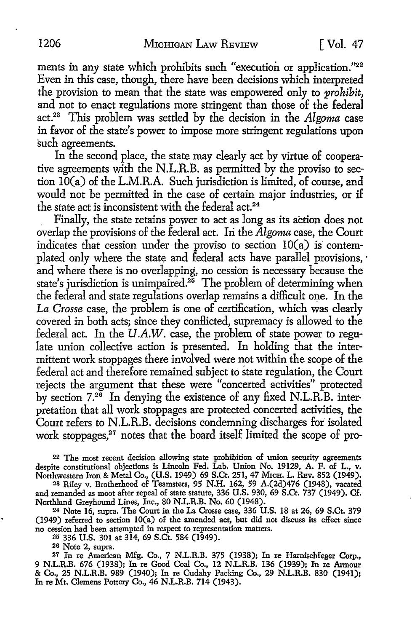ments in any state which prohibits such "execution or application."<sup>22</sup> Even in this case, though, there have been decisions which interpreted the provision to mean that the state was empowered only to *prohibit,*  and not to enact regulations more stringent than those of the federal act.23 This problem was settled by the decision in the *Algoma* case in favor of the state's power to impose more stringent regulations upon such agreements.

In the second place, the state may clearly act by virtue of cooperative agreements with the N.L.R.B. as permitted by the proviso to section IO(a) of the L.M.R.A. Such jurisdiction is limited, of course, and would not be permitted in the case of certain major industries, or if the state act is inconsistent with the federal act.<sup>24</sup>

. Finally, the state retains power to act as long as its action does not overlap the provisions of the federal act. Iri the *Algoma* case, the Court indicates that cession under the proviso to section  $10(a)$  is contemplated only where the state and federal acts have parallel provisions, · and where there is no overlapping, no cession is necessary because the state's jurisdiction is unimpaired.<sup>26</sup> The problem of determining when the federal and state regulations overlap remains a difficult one. In the *La Crosse* case, the problem is one of certification, which was clearly covered in both acts; since they conflicted, supremacy is allowed to the federal act. In the  $U.A.W.$  case, the problem of state power to regulate union collective action is presented. In holding that the intermittent work stoppages there involved were not within the scope of the federal act and therefore remained subject to state regulation, the Court rejects the argument that these were "concerted activities" protected by section 7.26 In denying the existence of any fixed N.L.R.B. interpretation that all work stoppages are protected concerted activities, the Court refers to N.L.R.B. decisions condemning discharges for isolated work stoppages,<sup>27</sup> notes that the board itself limited the scope of pro-

22 The most recent decision allowing state prohibition of union security agreements despite constitutional objections is Lincoln Fed. Lab. Union No. 19129, A. F. of L., v. Northwestern Iron & Metal Co., (U.S. 1949) 69 S.Ct. 251, 47 MICH. L. REv. 852 (1949).

28 Riley v. Brotherhood of Teamsters, 95 N.H. 162, 59 A.(2d)476 (1948), vacated and remanded as moot after repeal of state statute, 336 U.S. 930, 69 S.Ct. 737 (1949). Cf. Northland Greyhound Lines, Inc., 80 N.L.R.B. No. 60 (1948).

24 Note 16, supra. The Court in the La Crosse case, 336 U.S. 18 at 26, 69 S.Ct. 379 (1949) referred to section IO(a) of the amended act, but did not discuss its effect since no cession had been attempted in respect to representation matters.

25 336 U.S. 301 at 314, 69 S.Ct. 584 (1949).

26 Note 2, supra.

27 In re American Mfg. Co., 7 N.L.R.B. 375 (1938); In re Hamischfeger Corp., 9 N.L.R.B. 676 (1938); In re Good Coal Co., 12 N.L.R.B. 136 (1939); In re Armour & Co., 25 N.L.R.B. 989 (1940); In re Cudahy Packing Co., 29 N.L.R.B. 830 (1941); In re Mt. Clemens Pottery Co., 46 N.L.R.B. 714 (1943).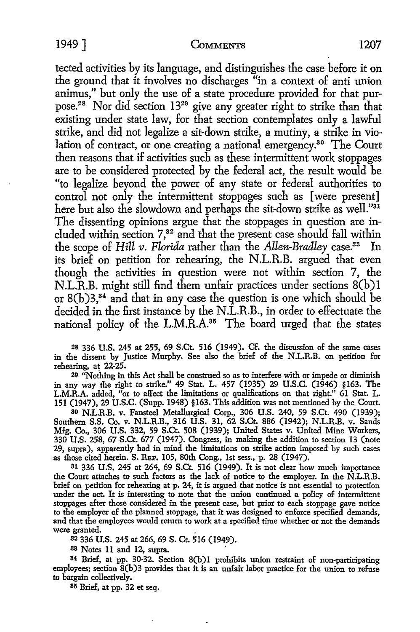tected activities by its language, and distinguishes the case before it on the ground that it involves no discharges "in a context of anti union animus," but only the use of a state procedure provided for that purpose.28 Nor did section 1329 give any greater right *to* strike than that existing under state law, for that section contemplates only a lawful strike, and did not legalize a sit-down strike, a mutiny, a strike in violation of contract, or one creating a national emergency.30 The Court then reasons that if activities such as these intermittent work stoppages are *to* be considered protected by the federal act, the result would be "to legalize beyond the power of any state or federal authorities to control not only the intermittent stoppages such as [were present] here but also the slowdown and perhaps the sit-down strike as well."<sup>31</sup> The dissenting opinions argue that the stoppages in question are included within section 7,<sup>32</sup> and that the present case should fall within the scope of *Hill v. Florida* rather than the *Allen-Bradley* case.33 In its brief on petition for rehearing, the N.L.R.B. argued that even though the activities in question were not within section 7, the N.L.R.B. might still find them unfair practices under sections 8(b)1 or  $8(b)3$ ,<sup>34</sup> and that in any case the question is one which should be decided in the first instance by the N.L.R.B., in order *to* effectuate the national policy of the L.M.R.A.<sup>35</sup> The board urged that the states

28 336 U.S. 245 at 255, 69 S.Ct. 516 (1949). Cf. the discussion of the same cases in the dissent by Justice Murphy. See also the brief of the N.L.R.B. on petition for rehearing, at 22-25.

29 ''Nothing in this Act shall be construed so as to interfere with or impede or diminish in any way the right to strike." 49 Stat. L. 457 (1935) 29 U.S.C. (1946) §163. The L.M.R.A. added, "or to affect the limitations or qualifications on that right." 61 Stat. L. 151 (1947), 29 U.S.C. (Supp. 1948) §163. This addition was not mentioned by the Court.

so N.L.R.B. v. Fansteel Metallurgical Corp., 306 U.S. 240, 59 S.Ct. 490 (1939); Southern S.S. Co. v. N.L.R.B., 316 U.S. 31, 62 S.Ct. 886 (1942); N.L.R.B. v. Sands Mfg. Co., 306 U.S. 332, 59 S.Ct. 508 (1939); United States v. United Mine Workers, 330 U.S. 258, 67 S.Ct. 677 (1947). Congress, in making the addition to section 13 (note 29, supra), apparently had in mind the limitations on strike action imposed by such cases as those cited herein. S. REP. 105, 80th Cong., 1st sess., p. 28 (1947).

81 336 U.S. 245 at 264, 69 S.Ct. 516 (1949). It is not clear how much importance the Court attaches to such factors as the lack of notice to the employer. In the N.L.R.B. brief on petition for rehearing at p. 24, it is argued that notice is not essential to protection under the act. It is interesting to note that the union continued a policy of intermittent stoppages after those considered in the present case, but prior to each stoppage gave notice to the employer of the planned stoppage, that it was designed to enforce specified demands, and that the employees would return to work at a specffied time whether or not the demands were granted.

s2 336 U.S. 245 at 266, 69 S. Ct. 516 (1949).

38 Notes 11 and 12, supra.

84 Brief, at pp. 30-32. Section 8(b)I prohibits union restraint of non-participating employees; section 8(b)3 provides that it is an unfair labor practice for the union to refuse to bargain collectively.

85 Brief, at pp. 32 et seq.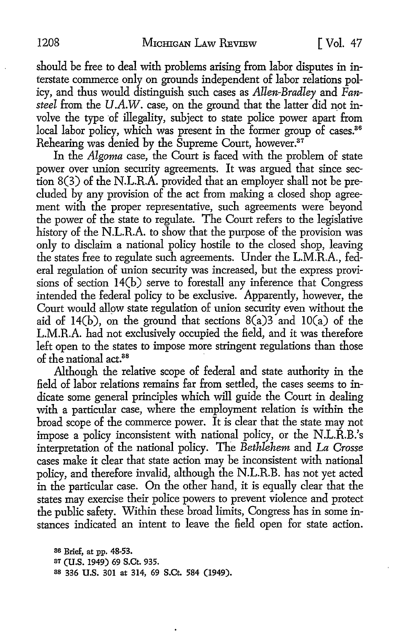should be free *to* deal with problems arising from labor disputes in interstate commerce only on grounds independent of labor relations policy, and thus would distinguish such cases as *Allen-Bradley* and *Fansteel* from the *U.A.W.* case, on the ground that the latter did not involve the type ·of illegality, subject *to* state police power apart from local labor policy, which was present in the former group of cases.<sup>36</sup> Rehearing was denied by the Supreme Court, however.<sup>37</sup>

In the *Algoma* case, the Court is faced with the problem of state power over union security agreements. It was argued that since section 8(3) of the N.L.R.A. provided that an employer shall not be precluded by any provision of the act from making a closed shop agreement with the proper representative, such agreements were beyond the power of the state *to* regulate. The Court refers *to* the legislative history of the N.L.R.A. *to* show that the purpose of the provision was only *to* disclaim a national policy hostile *to* the closed shop, leaving the states free *to* regulate such agreements. Under the L.M.R.A., federal regulation of union security was increased, but the express provisions of section 14(b) serve to forestall any inference that Congress intended the federal policy *to* be exclusive. Apparently, however, the Court would allow state regulation of union security even without the aid of 14(b), on the ground that sections  $8(a)3$  and  $10(a)$  of the L.M.R.A. had not exclusively occupied the field, and it was therefore left open *to* the states *to* impose more stringent regulations than those of the national act.<sup>88</sup>

Although the relative scope of federal and state authority in the field of labor relations remains far from settled, the cases seems *to* indicate some general principles which will guide the Court in dealing with a particular case, where the employment relation is within the broad scope of the commerce power. It is clear that the state may not impose a policy inconsistent with national policy, or the N.L.R.B.'s interpretation of the national policy. The *Bethlehem* and *La Crosse*  cases make it clear that state action may be inconsistent with national policy, and therefore invalid, although the N.L.R.B. has not yet acted in the particular case. On the other hand, it is equally clear that the states may exercise their police powers to prevent violence and protect the public safety. Within these broad limits, Congress has in some instances indicated an intent *to* leave the field open for state action.

as Brief, at pp. 48-53. 87 (U.S. 1949) 69 S.Ct. 935. 88 336 U.S. 301 at 314, 69 S.Ct. 584 (1949).